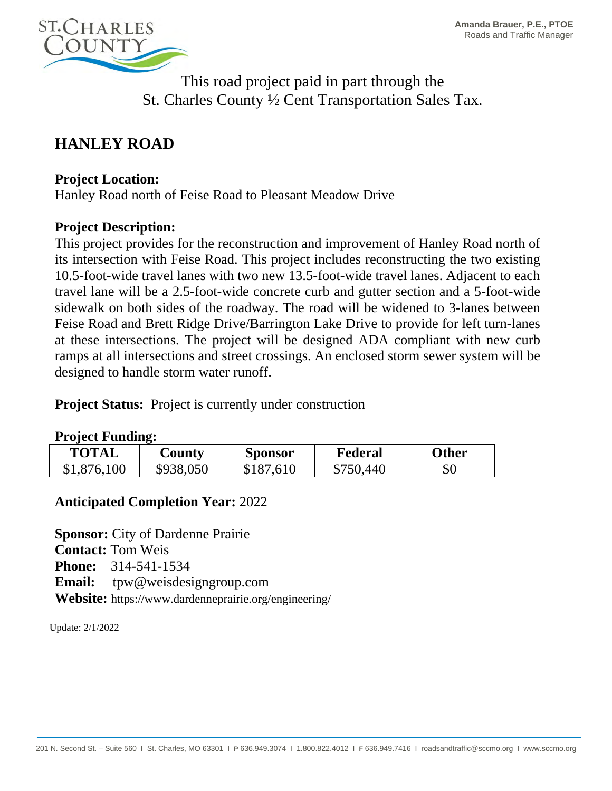

This road project paid in part through the St. Charles County ½ Cent Transportation Sales Tax.

# **HANLEY ROAD**

#### **Project Location:**

Hanley Road north of Feise Road to Pleasant Meadow Drive

### **Project Description:**

This project provides for the reconstruction and improvement of Hanley Road north of its intersection with Feise Road. This project includes reconstructing the two existing 10.5-foot-wide travel lanes with two new 13.5-foot-wide travel lanes. Adjacent to each travel lane will be a 2.5-foot-wide concrete curb and gutter section and a 5-foot-wide sidewalk on both sides of the roadway. The road will be widened to 3-lanes between Feise Road and Brett Ridge Drive/Barrington Lake Drive to provide for left turn-lanes at these intersections. The project will be designed ADA compliant with new curb ramps at all intersections and street crossings. An enclosed storm sewer system will be designed to handle storm water runoff.

**Project Status:** Project is currently under construction

#### **Project Funding:**

| TOTAL       | $\mathbf{Country}$ | <b>Sponsor</b> | Federal   | <b>Other</b> |
|-------------|--------------------|----------------|-----------|--------------|
| \$1,876,100 | \$938,050          | \$187,610      | \$750,440 | $\$0$        |

## **Anticipated Completion Year:** 2022

**Sponsor:** City of Dardenne Prairie **Contact:** Tom Weis **Phone:** 314-541-1534 **Email:** tpw@weisdesigngroup.com **Website:** https://www.dardenneprairie.org/engineering/

Update: 2/1/2022